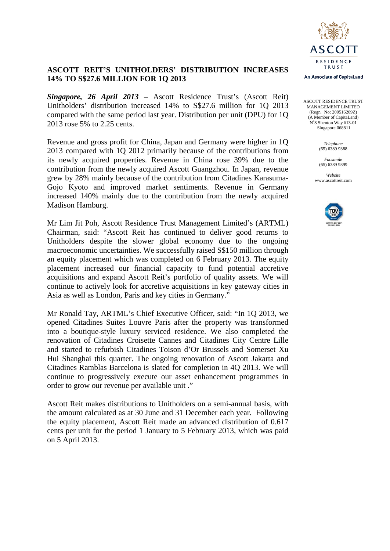

# **ASCOTT REIT'S UNITHOLDERS' DISTRIBUTION INCREASES 14% TO S\$27.6 MILLION FOR 1Q 2013**

*Singapore, 26 April 2013* – Ascott Residence Trust's (Ascott Reit) Unitholders' distribution increased 14% to S\$27.6 million for 1Q 2013 compared with the same period last year. Distribution per unit (DPU) for 1Q 2013 rose 5% to 2.25 cents.

Revenue and gross profit for China, Japan and Germany were higher in 1Q 2013 compared with 1Q 2012 primarily because of the contributions from its newly acquired properties. Revenue in China rose 39% due to the contribution from the newly acquired Ascott Guangzhou. In Japan, revenue grew by 28% mainly because of the contribution from Citadines Karasuma-Gojo Kyoto and improved market sentiments. Revenue in Germany increased 140% mainly due to the contribution from the newly acquired Madison Hamburg.

Mr Lim Jit Poh, Ascott Residence Trust Management Limited's (ARTML) Chairman, said: "Ascott Reit has continued to deliver good returns to Unitholders despite the slower global economy due to the ongoing macroeconomic uncertainties. We successfully raised S\$150 million through an equity placement which was completed on 6 February 2013. The equity placement increased our financial capacity to fund potential accretive acquisitions and expand Ascott Reit's portfolio of quality assets. We will continue to actively look for accretive acquisitions in key gateway cities in Asia as well as London, Paris and key cities in Germany."

Mr Ronald Tay, ARTML's Chief Executive Officer, said: "In 1Q 2013, we opened Citadines Suites Louvre Paris after the property was transformed into a boutique-style luxury serviced residence. We also completed the renovation of Citadines Croisette Cannes and Citadines City Centre Lille and started to refurbish Citadines Toison d'Or Brussels and Somerset Xu Hui Shanghai this quarter. The ongoing renovation of Ascott Jakarta and Citadines Ramblas Barcelona is slated for completion in 4Q 2013. We will continue to progressively execute our asset enhancement programmes in order to grow our revenue per available unit ."

Ascott Reit makes distributions to Unitholders on a semi-annual basis, with the amount calculated as at 30 June and 31 December each year. Following the equity placement, Ascott Reit made an advanced distribution of 0.617 cents per unit for the period 1 January to 5 February 2013, which was paid on 5 April 2013.

An Associate of CapitaLand

ASCOTT RESIDENCE TRUST MANAGEMENT LIMITED (Regn. No: 200516209Z) (A Member of CapitaLand) No 8 Shenton Way #13-01 Singapore 068811

> *Telephone* (65) 6389 9388

*Facsimile* (65) 6389 9399

*Website* www.ascottreit.com

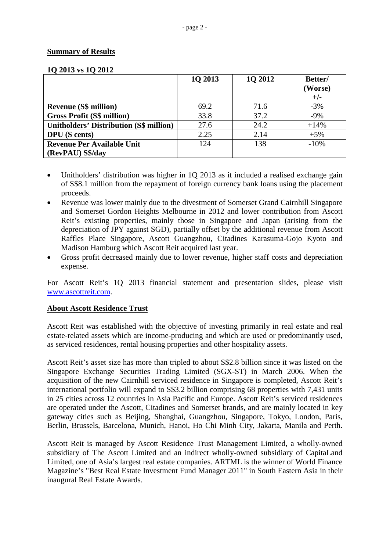# **Summary of Results**

| $19.2010 - 10.19 = 0.12$                       | 1Q 2013 | 1Q 2012 | Better/<br>(Worse)<br>$+/-$ |
|------------------------------------------------|---------|---------|-----------------------------|
| <b>Revenue (S\$ million)</b>                   | 69.2    | 71.6    | $-3%$                       |
| <b>Gross Profit (S\$ million)</b>              | 33.8    | 37.2    | $-9\%$                      |
| <b>Unitholders' Distribution (S\$ million)</b> | 27.6    | 24.2    | $+14%$                      |
| <b>DPU</b> (S cents)                           | 2.25    | 2.14    | $+5%$                       |
| <b>Revenue Per Available Unit</b>              | 124     | 138     | $-10%$                      |
| (RevPAU) S\$/day                               |         |         |                             |

#### **1Q 2013 vs 1Q 2012**

- Unitholders' distribution was higher in 1Q 2013 as it included a realised exchange gain of S\$8.1 million from the repayment of foreign currency bank loans using the placement proceeds.
- Revenue was lower mainly due to the divestment of Somerset Grand Cairnhill Singapore and Somerset Gordon Heights Melbourne in 2012 and lower contribution from Ascott Reit's existing properties, mainly those in Singapore and Japan (arising from the depreciation of JPY against SGD), partially offset by the additional revenue from Ascott Raffles Place Singapore, Ascott Guangzhou, Citadines Karasuma-Gojo Kyoto and Madison Hamburg which Ascott Reit acquired last year.
- Gross profit decreased mainly due to lower revenue, higher staff costs and depreciation expense.

For Ascott Reit's 1Q 2013 financial statement and presentation slides, please visit [www.ascottreit.com.](http://www.ascottreit.com/)

# **About Ascott Residence Trust**

Ascott Reit was established with the objective of investing primarily in real estate and real estate-related assets which are income-producing and which are used or predominantly used, as serviced residences, rental housing properties and other hospitality assets.

Ascott Reit's asset size has more than tripled to about S\$2.8 billion since it was listed on the Singapore Exchange Securities Trading Limited (SGX-ST) in March 2006. When the acquisition of the new Cairnhill serviced residence in Singapore is completed, Ascott Reit's international portfolio will expand to S\$3.2 billion comprising 68 properties with 7,431 units in 25 cities across 12 countries in Asia Pacific and Europe. Ascott Reit's serviced residences are operated under the Ascott, Citadines and Somerset brands, and are mainly located in key gateway cities such as Beijing, Shanghai, Guangzhou, Singapore, Tokyo, London, Paris, Berlin, Brussels, Barcelona, Munich, Hanoi, Ho Chi Minh City, Jakarta, Manila and Perth.

Ascott Reit is managed by Ascott Residence Trust Management Limited, a wholly-owned subsidiary of The Ascott Limited and an indirect wholly-owned subsidiary of CapitaLand Limited, one of Asia's largest real estate companies. ARTML is the winner of World Finance Magazine's "Best Real Estate Investment Fund Manager 2011" in South Eastern Asia in their inaugural Real Estate Awards.